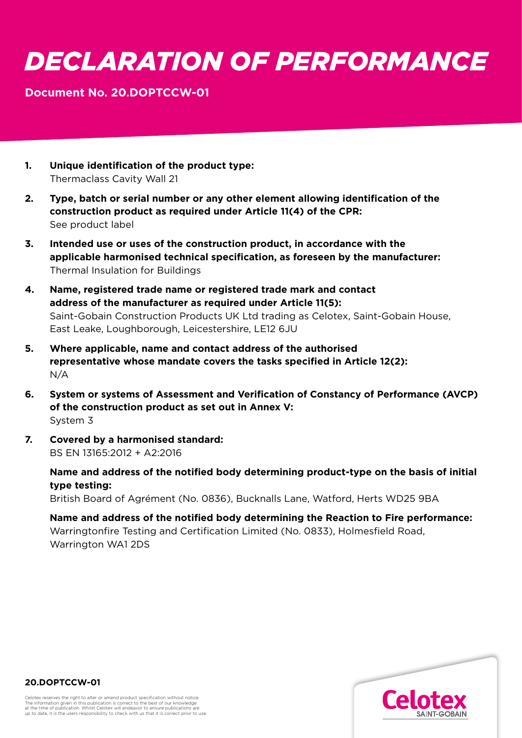## *DECLARATION OF PERFORMANCE*

## **Document No. 20.DOPTCCW-01**

- **1. Unique identification of the product type:**  Thermaclass Cavity Wall 21
- **2. Type, batch or serial number or any other element allowing identification of the construction product as required under Article 11(4) of the CPR:** See product label
- **3. Intended use or uses of the construction product, in accordance with the applicable harmonised technical specification, as foreseen by the manufacturer:**  Thermal Insulation for Buildings
- **4. Name, registered trade name or registered trade mark and contact address of the manufacturer as required under Article 11(5):**  Saint-Gobain Construction Products UK Ltd trading as Celotex, Saint-Gobain House, East Leake, Loughborough, Leicestershire, LE12 6JU
- **5. Where applicable, name and contact address of the authorised representative whose mandate covers the tasks specified in Article 12(2):**  N/A
- **6. System or systems of Assessment and Verification of Constancy of Performance (AVCP) of the construction product as set out in Annex V:**  System 3
- **7. Covered by a harmonised standard:**  BS EN 13165:2012 + A2:2016

 **Name and address of the notified body determining product-type on the basis of initial type testing:**

British Board of Agrément (No. 0836), Bucknalls Lane, Watford, Herts WD25 9BA

 **Name and address of the notified body determining the Reaction to Fire performance:** Warringtonfire Testing and Certification Limited (No. 0833), Holmesfield Road, Warrington WA1 2DS



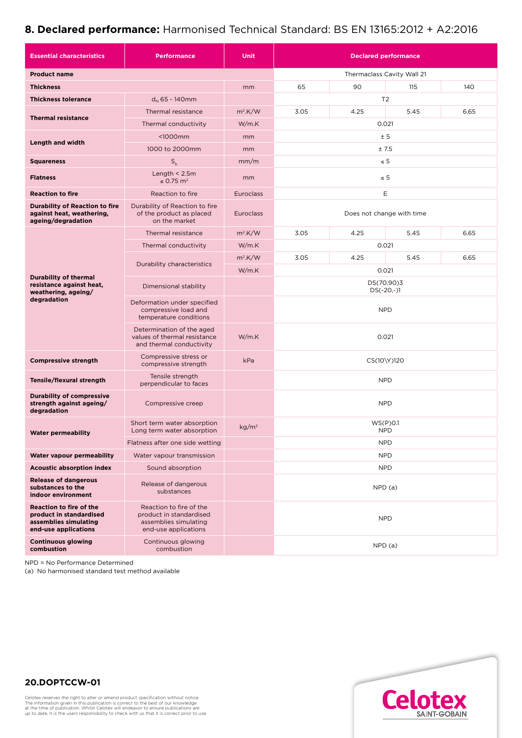## **8. Declared performance:** Harmonised Technical Standard: BS EN 13165:2012 + A2:2016

| <b>Essential characteristics</b>                                                                           | <b>Performance</b>                                                                                  | <b>Unit</b>                | <b>Declared performance</b> |                |      |      |
|------------------------------------------------------------------------------------------------------------|-----------------------------------------------------------------------------------------------------|----------------------------|-----------------------------|----------------|------|------|
| <b>Product name</b>                                                                                        |                                                                                                     | Thermaclass Cavity Wall 21 |                             |                |      |      |
| <b>Thickness</b>                                                                                           |                                                                                                     | mm                         | 65                          | 90             | 115  | 140  |
| <b>Thickness tolerance</b>                                                                                 | $d_N$ 65 - 140mm                                                                                    |                            |                             | T <sub>2</sub> |      |      |
| <b>Thermal resistance</b>                                                                                  | Thermal resistance                                                                                  | $m^2$ K/W                  | 3.05                        | 4.25           | 5.45 | 6.65 |
|                                                                                                            | Thermal conductivity                                                                                | W/m.K                      | 0.021                       |                |      |      |
| <b>Length and width</b>                                                                                    | $1000mm$                                                                                            | mm                         | ± 5                         |                |      |      |
|                                                                                                            | 1000 to 2000mm                                                                                      | mm                         | ±7.5                        |                |      |      |
| <b>Squareness</b>                                                                                          | $S_{b}$                                                                                             | mm/m                       | $\leq 5$                    |                |      |      |
| <b>Flatness</b>                                                                                            | Length $<$ 2.5m<br>$\leq$ 0.75 m <sup>2</sup>                                                       | mm                         | $\leq 5$                    |                |      |      |
| <b>Reaction to fire</b>                                                                                    | Reaction to fire                                                                                    | <b>Euroclass</b>           | E                           |                |      |      |
| <b>Durability of Reaction to fire</b><br>against heat, weathering,<br>ageing/degradation                   | Durability of Reaction to fire<br>of the product as placed<br>on the market                         | <b>Euroclass</b>           | Does not change with time   |                |      |      |
| <b>Durability of thermal</b><br>resistance against heat,<br>weathering, ageing/<br>degradation             | Thermal resistance                                                                                  | $m^2$ K/W                  | 3.05                        | 4.25           | 5.45 | 6.65 |
|                                                                                                            | Thermal conductivity                                                                                | W/m.K                      | 0.021                       |                |      |      |
|                                                                                                            | Durability characteristics                                                                          | $m^2$ .K/W                 | 3.05                        | 4.25           | 5.45 | 6.65 |
|                                                                                                            |                                                                                                     | W/m.K                      | 0.021                       |                |      |      |
|                                                                                                            | Dimensional stability                                                                               |                            | DS(70,90)3<br>$DS(-20,-)1$  |                |      |      |
|                                                                                                            | Deformation under specified<br>compressive load and<br>temperature conditions                       |                            | <b>NPD</b>                  |                |      |      |
|                                                                                                            | Determination of the aged<br>values of thermal resistance<br>and thermal conductivity               | W/m.K                      | 0.021                       |                |      |      |
| <b>Compressive strength</b>                                                                                | Compressive stress or<br>compressive strength                                                       | kPa                        | CS(10\Y)120                 |                |      |      |
| Tensile/flexural strength                                                                                  | Tensile strength<br>perpendicular to faces                                                          |                            | <b>NPD</b>                  |                |      |      |
| <b>Durability of compressive</b><br>strength against ageing/<br>degradation                                | Compressive creep                                                                                   |                            | <b>NPD</b>                  |                |      |      |
| <b>Water permeability</b>                                                                                  | Short term water absorption<br>Long term water absorption                                           | kg/m <sup>2</sup>          | WS(P)0.1<br><b>NPD</b>      |                |      |      |
|                                                                                                            | Flatness after one side wetting                                                                     |                            | <b>NPD</b>                  |                |      |      |
| Water vapour permeability                                                                                  | Water vapour transmission                                                                           |                            | <b>NPD</b>                  |                |      |      |
| <b>Acoustic absorption index</b>                                                                           | Sound absorption                                                                                    |                            | <b>NPD</b>                  |                |      |      |
| <b>Release of dangerous</b><br>substances to the<br>indoor environment                                     | Release of dangerous<br>substances                                                                  |                            | NPD(a)                      |                |      |      |
| <b>Reaction to fire of the</b><br>product in standardised<br>assemblies simulating<br>end-use applications | Reaction to fire of the<br>product in standardised<br>assemblies simulating<br>end-use applications |                            | <b>NPD</b>                  |                |      |      |
| <b>Continuous glowing</b><br>combustion                                                                    | Continuous glowing<br>combustion                                                                    |                            | NPD(a)                      |                |      |      |

NPD = No Performance Determined

(a) No harmonised standard test method available



## **20.DOPTCCW-01**